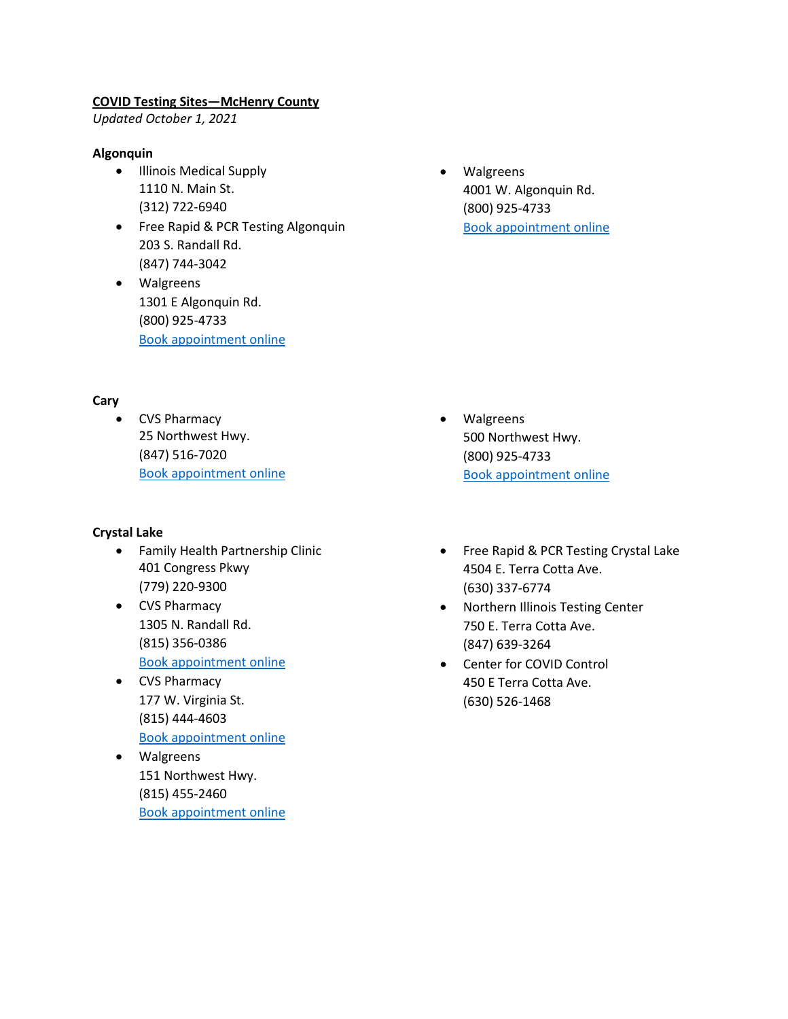## **COVID Testing Sites—McHenry County**

*Updated October 1, 2021*

# **Algonquin**

- Illinois Medical Supply 1110 N. Main St. (312) 722-6940
- Free Rapid & PCR Testing Algonquin 203 S. Randall Rd. (847) 744-3042
- Walgreens 1301 E Algonquin Rd. (800) 925-4733 [Book appointment online](https://www.walgreens.com/findcare/covid19/testing)
- **Cary**
	- CVS Pharmacy 25 Northwest Hwy. (847) 516-7020 [Book appointment online](https://www.cvs.com/minuteclinic/covid-19-testing)

# **Crystal Lake**

- Family Health Partnership Clinic 401 Congress Pkwy (779) 220-9300
- CVS Pharmacy 1305 N. Randall Rd. (815) 356-0386 [Book appointment online](https://www.cvs.com/minuteclinic/covid-19-testing)
- CVS Pharmacy 177 W. Virginia St. (815) 444-4603 [Book appointment online](https://www.cvs.com/minuteclinic/covid-19-testing)
- Walgreens 151 Northwest Hwy. (815) 455-2460 [Book appointment online](https://www.walgreens.com/findcare/covid19/testing)

• Walgreens 4001 W. Algonquin Rd. (800) 925-4733 [Book appointment online](https://www.walgreens.com/findcare/covid19/testing)

- Walgreens 500 Northwest Hwy. (800) 925-4733 [Book appointment online](https://www.walgreens.com/findcare/covid19/testing)
- Free Rapid & PCR Testing Crystal Lake 4504 E. Terra Cotta Ave. (630) 337-6774
- Northern Illinois Testing Center 750 E. Terra Cotta Ave. (847) 639-3264
- Center for COVID Control 450 E Terra Cotta Ave. (630) 526-1468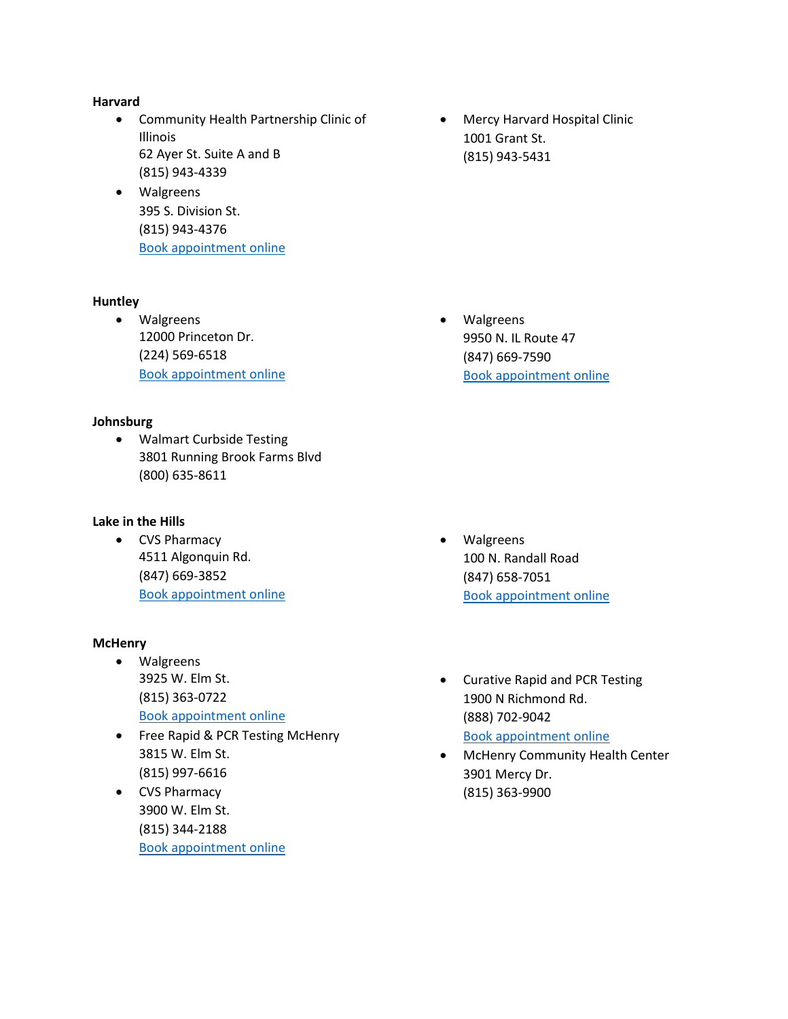## **Harvard**

- Community Health Partnership Clinic of Illinois 62 Ayer St. Suite A and B (815) 943-4339
- Walgreens 395 S. Division St. (815) 943-4376 [Book appointment online](https://www.walgreens.com/findcare/covid19/testing)

## **Huntley**

• Walgreens 12000 Princeton Dr. (224) 569-6518 [Book appointment online](https://www.walgreens.com/findcare/covid19/testing)

## **Johnsburg**

• Walmart Curbside Testing 3801 Running Brook Farms Blvd (800) 635-8611

## **Lake in the Hills**

• CVS Pharmacy 4511 Algonquin Rd. (847) 669-3852 [Book appointment online](https://www.cvs.com/minuteclinic/covid-19-testing)

## **McHenry**

- Walgreens 3925 W. Elm St. (815) 363-0722 [Book appointment online](https://www.walgreens.com/findcare/covid19/testing)
- Free Rapid & PCR Testing McHenry 3815 W. Elm St. (815) 997-6616
- CVS Pharmacy 3900 W. Elm St. (815) 344-2188 [Book appointment online](https://www.cvs.com/minuteclinic/covid-19-testing)

• Mercy Harvard Hospital Clinic 1001 Grant St. (815) 943-5431

• Walgreens 9950 N. IL Route 47 (847) 669-7590 [Book appointment online](https://www.walgreens.com/findcare/covid19/testing)

- Walgreens 100 N. Randall Road (847) 658-7051 [Book appointment online](https://www.walgreens.com/findcare/covid19/testing)
- Curative Rapid and PCR Testing 1900 N Richmond Rd. (888) 702-9042 [Book appointment online](https://curative.com/#9/42.2311/-88.3057)
- McHenry Community Health Center 3901 Mercy Dr. (815) 363-9900